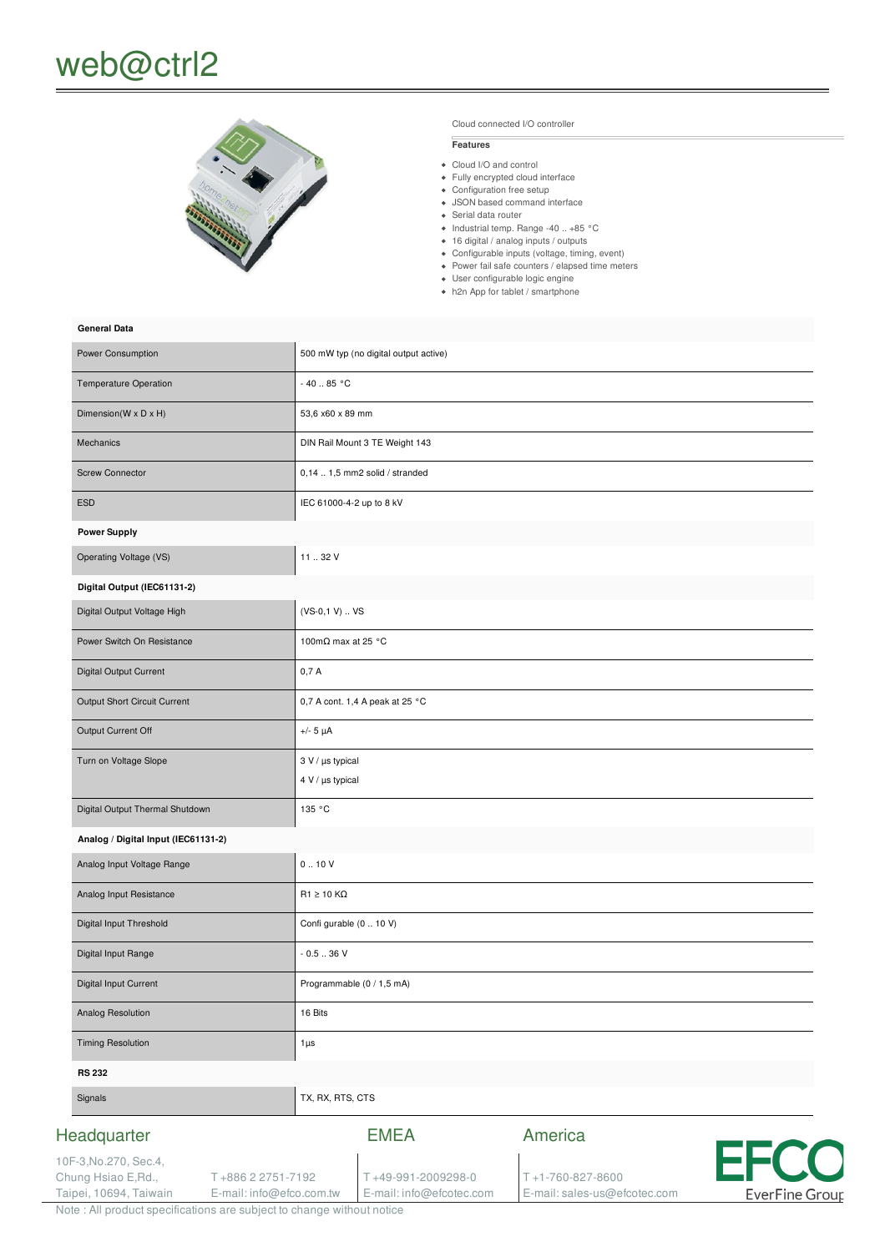# web@ctrl2



Cloud connected I/O controller

#### **Features**

- Cloud I/O and control
- Fully encrypted cloud interface
- Configuration free setup
- JSON based command interface
- Serial data router
- $\bullet$  Industrial temp. Range -40 .. +85 °C
- 16 digital / analog inputs / outputs Configurable inputs (voltage, timing, event)
- Power fail safe counters / elapsed time meters
- User configurable logic engine
- h2n App for tablet / smartphone

#### **General Data**

| Power Consumption                   | 500 mW typ (no digital output active)     |
|-------------------------------------|-------------------------------------------|
| Temperature Operation               | $-40.85 °C$                               |
| Dimension(W x D x H)                | 53,6 x60 x 89 mm                          |
| Mechanics                           | DIN Rail Mount 3 TE Weight 143            |
| <b>Screw Connector</b>              | $0,141,5$ mm2 solid / stranded            |
| <b>ESD</b>                          | IEC 61000-4-2 up to 8 kV                  |
| <b>Power Supply</b>                 |                                           |
| Operating Voltage (VS)              | 11.32V                                    |
| Digital Output (IEC61131-2)         |                                           |
| Digital Output Voltage High         | $(VS-0,1 V)  VS$                          |
| Power Switch On Resistance          | 100m $\Omega$ max at 25 °C                |
| <b>Digital Output Current</b>       | 0,7A                                      |
| Output Short Circuit Current        | 0,7 A cont. 1,4 A peak at 25 °C           |
| Output Current Off                  | $+/- 5 \mu A$                             |
| Turn on Voltage Slope               | 3 V / µs typical<br>$4 V / \mu s$ typical |
| Digital Output Thermal Shutdown     | 135 °C                                    |
| Analog / Digital Input (IEC61131-2) |                                           |
| Analog Input Voltage Range          | 0.10V                                     |
| Analog Input Resistance             | $R1 \ge 10$ KQ                            |
| Digital Input Threshold             | Confi gurable (0  10 V)                   |
| Digital Input Range                 | $-0.536V$                                 |
| Digital Input Current               | Programmable (0 / 1,5 mA)                 |
| Analog Resolution                   | 16 Bits                                   |
| <b>Timing Resolution</b>            | $1\mu s$                                  |
| <b>RS 232</b>                       |                                           |
| Signals                             | TX, RX, RTS, CTS                          |
| Headquarter                         | America<br><b>EMEA</b>                    |
| 10F-3, No. 270, Sec. 4,             | <b>FECC</b>                               |

T +49-991-2009298-0 E-mail: info@efcotec.com T +1-760-827-8600

E-mail: sales-us@efcotec.com

T.

**EverFine Group** 



T +886 2 2751-7192 E-mail: info@efco.com.tw

Chung Hsiao E,Rd., Taipei, 10694, Taiwain